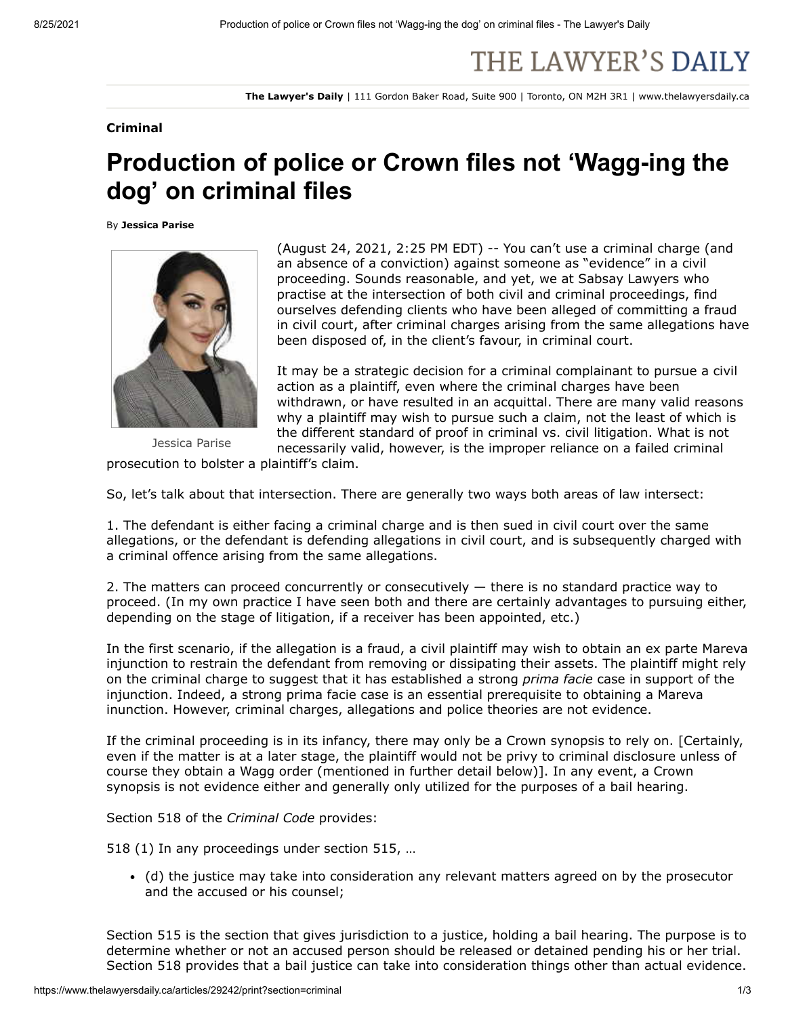## THE LAWYER'S DAILY

**The Lawyer's Daily** | 111 Gordon Baker Road, Suite 900 | Toronto, ON M2H 3R1 | www.thelawyersdaily.ca

## **Criminal**

## **Production of police or Crown files not 'Wagg-ing the dog' on criminal files**

By **Jessica Parise**



(August 24, 2021, 2:25 PM EDT) -- You can't use a criminal charge (and an absence of a conviction) against someone as "evidence" in a civil proceeding. Sounds reasonable, and yet, we at Sabsay Lawyers who practise at the intersection of both civil and criminal proceedings, find ourselves defending clients who have been alleged of committing a fraud in civil court, after criminal charges arising from the same allegations have been disposed of, in the client's favour, in criminal court.

It may be a strategic decision for a criminal complainant to pursue a civil action as a plaintiff, even where the criminal charges have been withdrawn, or have resulted in an acquittal. There are many valid reasons why a plaintiff may wish to pursue such a claim, not the least of which is the different standard of proof in criminal vs. civil litigation. What is not necessarily valid, however, is the improper reliance on a failed criminal

Jessica Parise

prosecution to bolster a plaintiff's claim.

So, let's talk about that intersection. There are generally two ways both areas of law intersect:

1. The defendant is either facing a criminal charge and is then sued in civil court over the same allegations, or the defendant is defending allegations in civil court, and is subsequently charged with a criminal offence arising from the same allegations.

2. The matters can proceed concurrently or consecutively  $-$  there is no standard practice way to proceed. (In my own practice I have seen both and there are certainly advantages to pursuing either, depending on the stage of litigation, if a receiver has been appointed, etc.)

In the first scenario, if the allegation is a fraud, a civil plaintiff may wish to obtain an ex parte Mareva injunction to restrain the defendant from removing or dissipating their assets. The plaintiff might rely on the criminal charge to suggest that it has established a strong *prima facie* case in support of the injunction. Indeed, a strong prima facie case is an essential prerequisite to obtaining a Mareva inunction. However, criminal charges, allegations and police theories are not evidence.

If the criminal proceeding is in its infancy, there may only be a Crown synopsis to rely on. [Certainly, even if the matter is at a later stage, the plaintiff would not be privy to criminal disclosure unless of course they obtain a Wagg order (mentioned in further detail below)]. In any event, a Crown synopsis is not evidence either and generally only utilized for the purposes of a bail hearing.

Section 518 of the *Criminal Code* provides:

518 (1) In any proceedings under section 515, …

(d) the justice may take into consideration any relevant matters agreed on by the prosecutor and the accused or his counsel;

Section 515 is the section that gives jurisdiction to a justice, holding a bail hearing. The purpose is to determine whether or not an accused person should be released or detained pending his or her trial. Section 518 provides that a bail justice can take into consideration things other than actual evidence.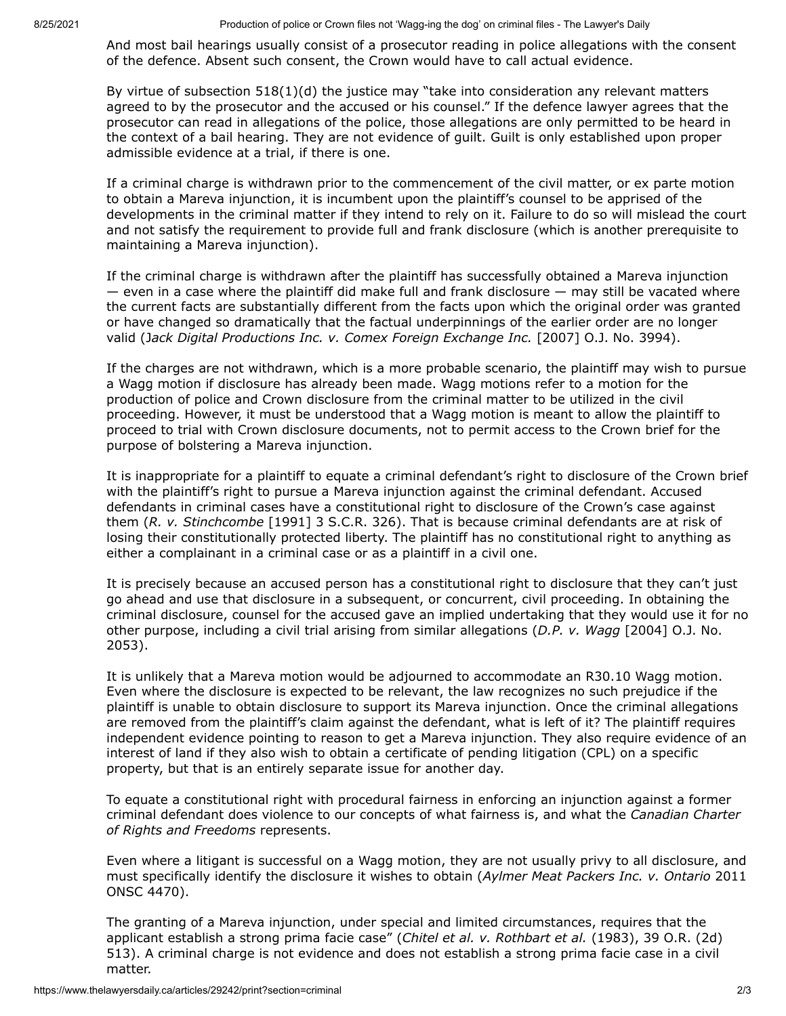And most bail hearings usually consist of a prosecutor reading in police allegations with the consent of the defence. Absent such consent, the Crown would have to call actual evidence.

By virtue of subsection 518(1)(d) the justice may "take into consideration any relevant matters agreed to by the prosecutor and the accused or his counsel." If the defence lawyer agrees that the prosecutor can read in allegations of the police, those allegations are only permitted to be heard in the context of a bail hearing. They are not evidence of guilt. Guilt is only established upon proper admissible evidence at a trial, if there is one.

If a criminal charge is withdrawn prior to the commencement of the civil matter, or ex parte motion to obtain a Mareva injunction, it is incumbent upon the plaintiff's counsel to be apprised of the developments in the criminal matter if they intend to rely on it. Failure to do so will mislead the court and not satisfy the requirement to provide full and frank disclosure (which is another prerequisite to maintaining a Mareva injunction).

If the criminal charge is withdrawn after the plaintiff has successfully obtained a Mareva injunction  $-$  even in a case where the plaintiff did make full and frank disclosure  $-$  may still be vacated where the current facts are substantially different from the facts upon which the original order was granted or have changed so dramatically that the factual underpinnings of the earlier order are no longer valid (J*ack Digital Productions Inc. v. Comex Foreign Exchange Inc.* [2007] O.J. No. 3994).

If the charges are not withdrawn, which is a more probable scenario, the plaintiff may wish to pursue a Wagg motion if disclosure has already been made. Wagg motions refer to a motion for the production of police and Crown disclosure from the criminal matter to be utilized in the civil proceeding. However, it must be understood that a Wagg motion is meant to allow the plaintiff to proceed to trial with Crown disclosure documents, not to permit access to the Crown brief for the purpose of bolstering a Mareva injunction.

It is inappropriate for a plaintiff to equate a criminal defendant's right to disclosure of the Crown brief with the plaintiff's right to pursue a Mareva injunction against the criminal defendant. Accused defendants in criminal cases have a constitutional right to disclosure of the Crown's case against them (*R. v. Stinchcombe* [1991] 3 S.C.R. 326). That is because criminal defendants are at risk of losing their constitutionally protected liberty. The plaintiff has no constitutional right to anything as either a complainant in a criminal case or as a plaintiff in a civil one.

It is precisely because an accused person has a constitutional right to disclosure that they can't just go ahead and use that disclosure in a subsequent, or concurrent, civil proceeding. In obtaining the criminal disclosure, counsel for the accused gave an implied undertaking that they would use it for no other purpose, including a civil trial arising from similar allegations (*D.P. v. Wagg* [2004] O.J. No. 2053).

It is unlikely that a Mareva motion would be adjourned to accommodate an R30.10 Wagg motion. Even where the disclosure is expected to be relevant, the law recognizes no such prejudice if the plaintiff is unable to obtain disclosure to support its Mareva injunction. Once the criminal allegations are removed from the plaintiff's claim against the defendant, what is left of it? The plaintiff requires independent evidence pointing to reason to get a Mareva injunction. They also require evidence of an interest of land if they also wish to obtain a certificate of pending litigation (CPL) on a specific property, but that is an entirely separate issue for another day.

To equate a constitutional right with procedural fairness in enforcing an injunction against a former criminal defendant does violence to our concepts of what fairness is, and what the *Canadian Charter of Rights and Freedoms* represents.

Even where a litigant is successful on a Wagg motion, they are not usually privy to all disclosure, and must specifically identify the disclosure it wishes to obtain (*Aylmer Meat Packers Inc. v. Ontario* 2011 ONSC 4470).

The granting of a Mareva injunction, under special and limited circumstances, requires that the applicant establish a strong prima facie case" (*Chitel et al. v. Rothbart et al.* (1983), 39 O.R. (2d) 513). A criminal charge is not evidence and does not establish a strong prima facie case in a civil matter.